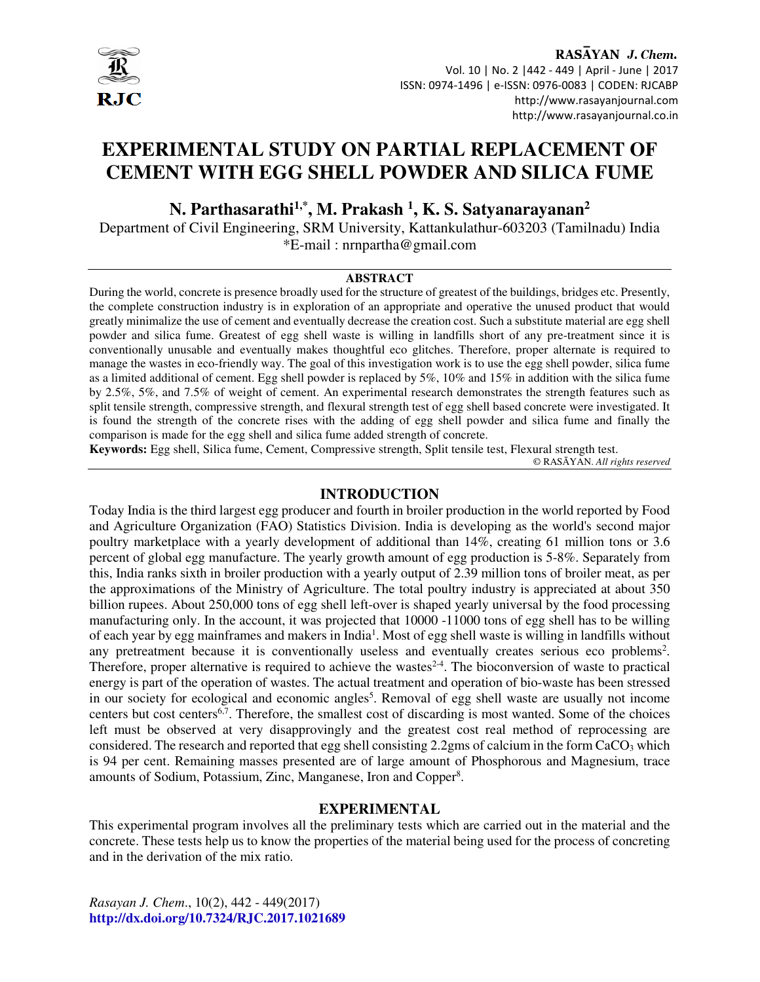

RASAYAN J. Chem. Vol. 10 | No. 2 |442 - 449 | April - June | 2017 ISSN: 0974-1496 | e-ISSN: 0976-0083 | CODEN: RJCABP http://www.rasayanjournal.com http://www.rasayanjournal.co.in

# **EXPERIMENTAL STUDY ON PARTIAL REPLACEMENT OF CEMENT WITH EGG SHELL POWDER AND SILICA FUME**

**N. Parthasarathi1,\*, M. Prakash <sup>1</sup> , K. S. Satyanarayanan<sup>2</sup>**

Department of Civil Engineering, SRM University, Kattankulathur-603203 (Tamilnadu) India \*E-mail : nrnpartha@gmail.com

#### **ABSTRACT**

During the world, concrete is presence broadly used for the structure of greatest of the buildings, bridges etc. Presently, the complete construction industry is in exploration of an appropriate and operative the unused product that would greatly minimalize the use of cement and eventually decrease the creation cost. Such a substitute material are egg shell powder and silica fume. Greatest of egg shell waste is willing in landfills short of any pre-treatment since it is conventionally unusable and eventually makes thoughtful eco glitches. Therefore, proper alternate is required to manage the wastes in eco-friendly way. The goal of this investigation work is to use the egg shell powder, silica fume as a limited additional of cement. Egg shell powder is replaced by 5%, 10% and 15% in addition with the silica fume by 2.5%, 5%, and 7.5% of weight of cement. An experimental research demonstrates the strength features such as split tensile strength, compressive strength, and flexural strength test of egg shell based concrete were investigated. It is found the strength of the concrete rises with the adding of egg shell powder and silica fume and finally the comparison is made for the egg shell and silica fume added strength of concrete.

**Keywords:** Egg shell, Silica fume, Cement, Compressive strength, Split tensile test, Flexural strength test. © RASĀYAN. *All rights reserved*

### **INTRODUCTION**

Today India is the third largest egg producer and fourth in broiler production in the world reported by Food and Agriculture Organization (FAO) Statistics Division. India is developing as the world's second major poultry marketplace with a yearly development of additional than 14%, creating 61 million tons or 3.6 percent of global egg manufacture. The yearly growth amount of egg production is 5-8%. Separately from this, India ranks sixth in broiler production with a yearly output of 2.39 million tons of broiler meat, as per the approximations of the Ministry of Agriculture. The total poultry industry is appreciated at about 350 billion rupees. About 250,000 tons of egg shell left-over is shaped yearly universal by the food processing manufacturing only. In the account, it was projected that 10000 -11000 tons of egg shell has to be willing of each year by egg mainframes and makers in India<sup>1</sup>. Most of egg shell waste is willing in landfills without any pretreatment because it is conventionally useless and eventually creates serious eco problems<sup>2</sup>. Therefore, proper alternative is required to achieve the wastes<sup>2-4</sup>. The bioconversion of waste to practical energy is part of the operation of wastes. The actual treatment and operation of bio-waste has been stressed in our society for ecological and economic angles<sup>5</sup>. Removal of egg shell waste are usually not income centers but cost centers<sup>6,7</sup>. Therefore, the smallest cost of discarding is most wanted. Some of the choices left must be observed at very disapprovingly and the greatest cost real method of reprocessing are considered. The research and reported that egg shell consisting 2.2gms of calcium in the form  $CaCO<sub>3</sub>$  which is 94 per cent. Remaining masses presented are of large amount of Phosphorous and Magnesium, trace amounts of Sodium, Potassium, Zinc, Manganese, Iron and Copper<sup>8</sup>.

### **EXPERIMENTAL**

This experimental program involves all the preliminary tests which are carried out in the material and the concrete. These tests help us to know the properties of the material being used for the process of concreting and in the derivation of the mix ratio.

*Rasayan J. Chem*., 10(2), 442 - 449(2017) **http://dx.doi.org/10.7324/RJC.2017.1021689**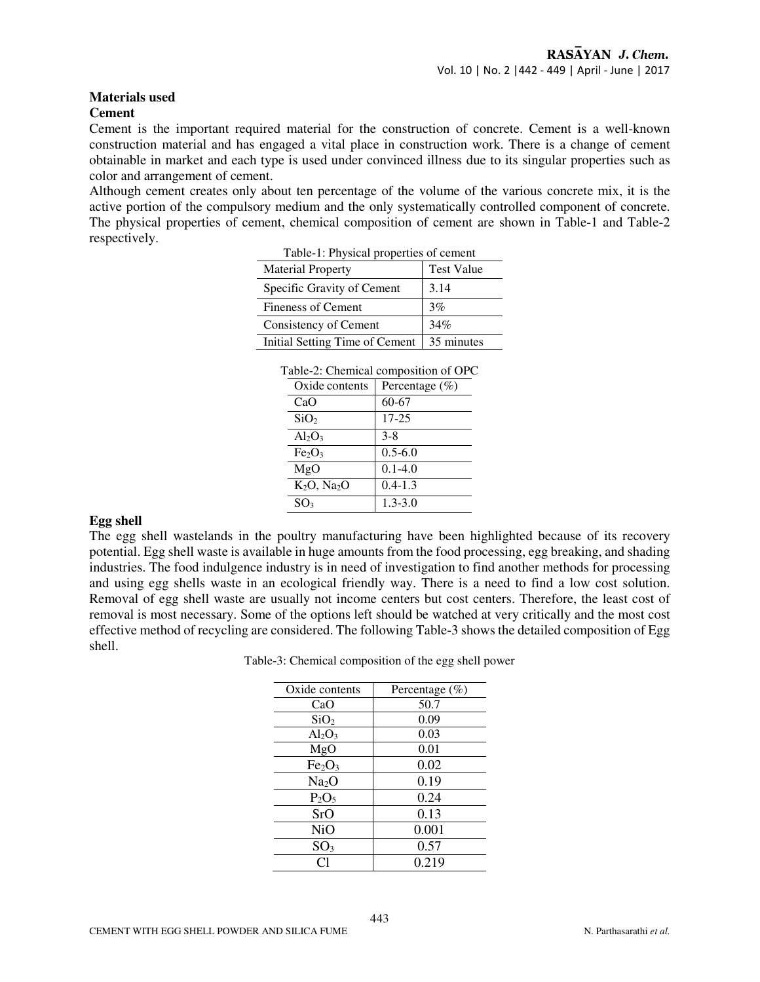#### **Materials used Cement**

Cement is the important required material for the construction of concrete. Cement is a well-known construction material and has engaged a vital place in construction work. There is a change of cement obtainable in market and each type is used under convinced illness due to its singular properties such as color and arrangement of cement.

Although cement creates only about ten percentage of the volume of the various concrete mix, it is the active portion of the compulsory medium and the only systematically controlled component of concrete. The physical properties of cement, chemical composition of cement are shown in Table-1 and Table-2 respectively.

| Table-1: Physical properties of cement |                   |  |
|----------------------------------------|-------------------|--|
| <b>Material Property</b>               | <b>Test Value</b> |  |
| Specific Gravity of Cement             | 3.14              |  |
| <b>Fineness of Cement</b>              | 3%                |  |
| Consistency of Cement                  | 34%               |  |
| Initial Setting Time of Cement         | 35 minutes        |  |

| Tuolo 21. Chomneur composition of Gr |                                |                   |
|--------------------------------------|--------------------------------|-------------------|
|                                      | Oxide contents                 | Percentage $(\%)$ |
|                                      | CaO                            | 60-67             |
|                                      | SiO <sub>2</sub>               | 17-25             |
|                                      | $Al_2O_3$                      | $3 - 8$           |
|                                      | Fe <sub>2</sub> O <sub>3</sub> | $0.5 - 6.0$       |
|                                      | MgO                            | $0.1 - 4.0$       |
|                                      | $K_2O$ , $Na_2O$               | $0.4 - 1.3$       |
|                                      | SO <sub>3</sub>                | $1.3 - 3.0$       |

### **Egg shell**

The egg shell wastelands in the poultry manufacturing have been highlighted because of its recovery potential. Egg shell waste is available in huge amounts from the food processing, egg breaking, and shading industries. The food indulgence industry is in need of investigation to find another methods for processing and using egg shells waste in an ecological friendly way. There is a need to find a low cost solution. Removal of egg shell waste are usually not income centers but cost centers. Therefore, the least cost of removal is most necessary. Some of the options left should be watched at very critically and the most cost effective method of recycling are considered. The following Table-3 shows the detailed composition of Egg shell.

Table-3: Chemical composition of the egg shell power

| Oxide contents                 | Percentage $(\%)$ |
|--------------------------------|-------------------|
| CaO                            | 50.7              |
| SiO <sub>2</sub>               | 0.09              |
| $Al_2O_3$                      | 0.03              |
| MgO                            | 0.01              |
| Fe <sub>2</sub> O <sub>3</sub> | 0.02              |
| Na <sub>2</sub> O              | 0.19              |
| $P_2O_5$                       | 0.24              |
| SrO                            | 0.13              |
| <b>NiO</b>                     | 0.001             |
| SO <sub>3</sub>                | 0.57              |
| ิ C1                           | 0.219             |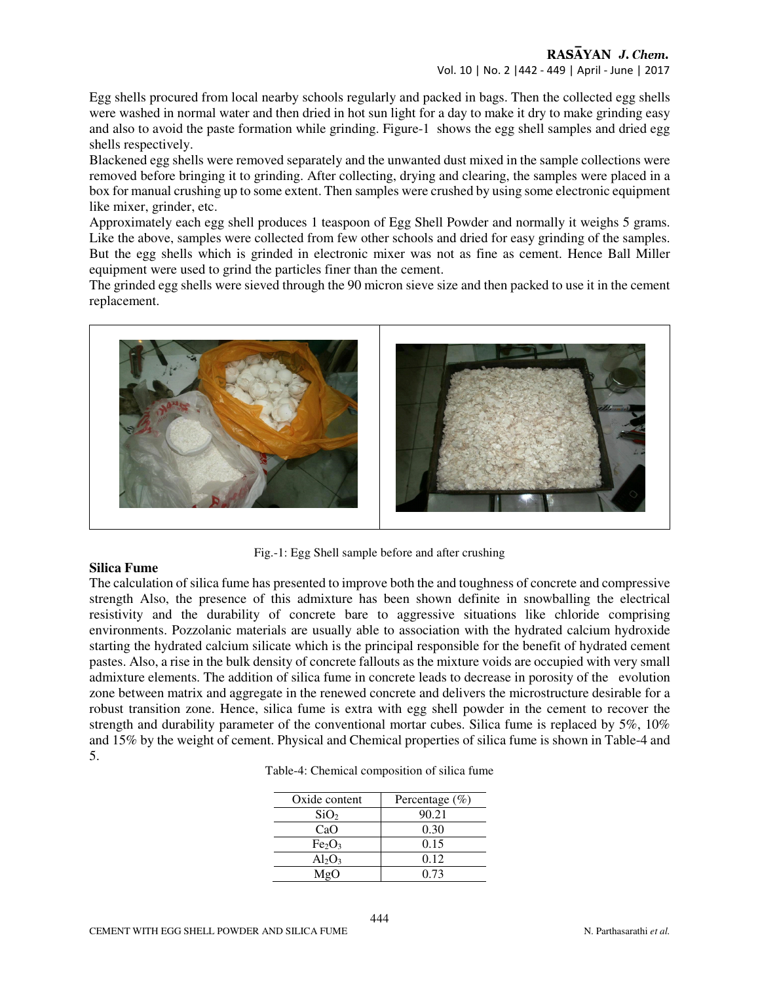Egg shells procured from local nearby schools regularly and packed in bags. Then the collected egg shells were washed in normal water and then dried in hot sun light for a day to make it dry to make grinding easy and also to avoid the paste formation while grinding. Figure-1 shows the egg shell samples and dried egg shells respectively.

Blackened egg shells were removed separately and the unwanted dust mixed in the sample collections were removed before bringing it to grinding. After collecting, drying and clearing, the samples were placed in a box for manual crushing up to some extent. Then samples were crushed by using some electronic equipment like mixer, grinder, etc.

Approximately each egg shell produces 1 teaspoon of Egg Shell Powder and normally it weighs 5 grams. Like the above, samples were collected from few other schools and dried for easy grinding of the samples. But the egg shells which is grinded in electronic mixer was not as fine as cement. Hence Ball Miller equipment were used to grind the particles finer than the cement.

The grinded egg shells were sieved through the 90 micron sieve size and then packed to use it in the cement replacement.



Fig.-1: Egg Shell sample before and after crushing

### **Silica Fume**

The calculation of silica fume has presented to improve both the and toughness of concrete and compressive strength Also, the presence of this admixture has been shown definite in snowballing the electrical resistivity and the durability of concrete bare to aggressive situations like chloride comprising environments. Pozzolanic materials are usually able to association with the hydrated calcium hydroxide starting the hydrated calcium silicate which is the principal responsible for the benefit of hydrated cement pastes. Also, a rise in the bulk density of concrete fallouts as the mixture voids are occupied with very small admixture elements. The addition of silica fume in concrete leads to decrease in porosity of the evolution zone between matrix and aggregate in the renewed concrete and delivers the microstructure desirable for a robust transition zone. Hence, silica fume is extra with egg shell powder in the cement to recover the strength and durability parameter of the conventional mortar cubes. Silica fume is replaced by 5%, 10% and 15% by the weight of cement. Physical and Chemical properties of silica fume is shown in Table-4 and 5.

| Table-4: Chemical composition of silica fume |                                    |
|----------------------------------------------|------------------------------------|
|                                              |                                    |
| $Q_{\text{min}}$ denotes the set             | $\mathbf{D}_{\text{unramian}}(01)$ |

| Oxide content                  | Percentage $(\% )$ |
|--------------------------------|--------------------|
| SiO <sub>2</sub>               | 90.21              |
| CaO                            | 0.30               |
| Fe <sub>2</sub> O <sub>3</sub> | 0.15               |
| $Al_2O_3$                      | 0.12               |
| MgO                            | 0.73               |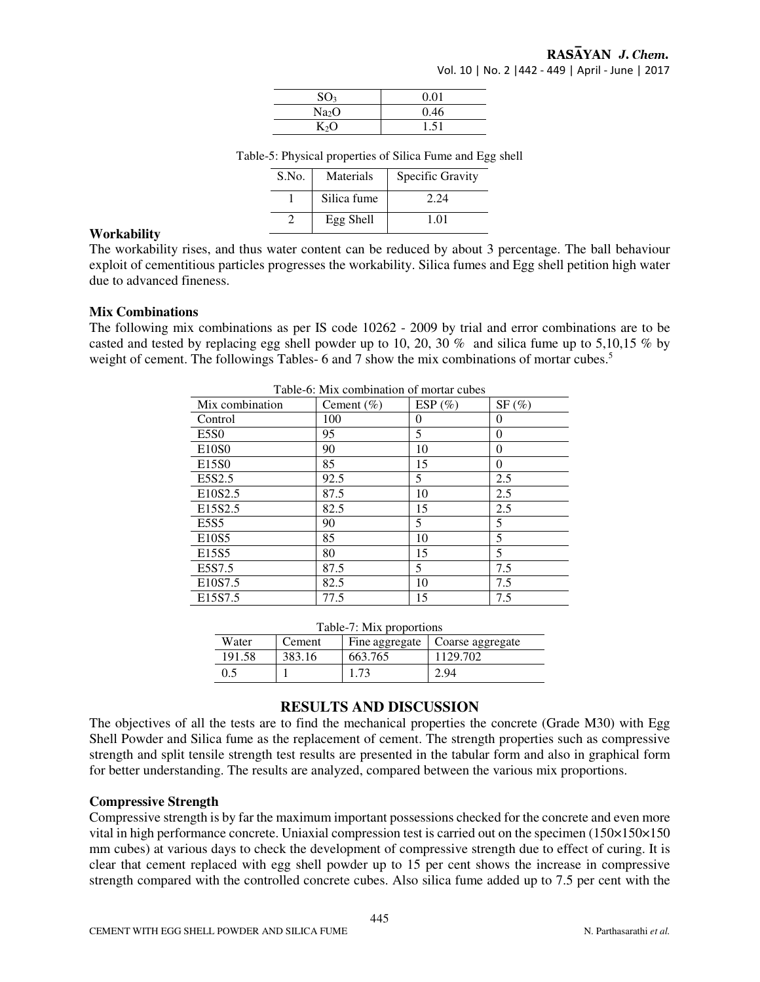| SO <sub>3</sub>   | 0.01 |
|-------------------|------|
| Na <sub>2</sub> O | 0.46 |
| $K_2O$            | 1.51 |

Table-5: Physical properties of Silica Fume and Egg shell

| S.No. | Materials   | Specific Gravity |
|-------|-------------|------------------|
|       | Silica fume | 2.24             |
|       | Egg Shell   | 101              |

#### **Workability**

The workability rises, and thus water content can be reduced by about 3 percentage. The ball behaviour exploit of cementitious particles progresses the workability. Silica fumes and Egg shell petition high water due to advanced fineness.

#### **Mix Combinations**

The following mix combinations as per IS code 10262 - 2009 by trial and error combinations are to be casted and tested by replacing egg shell powder up to 10, 20, 30 % and silica fume up to 5,10,15 % by weight of cement. The followings Tables- 6 and 7 show the mix combinations of mortar cubes.<sup>5</sup>

| Table-0. MIX Combination of mortal cubes |                |            |          |
|------------------------------------------|----------------|------------|----------|
| Mix combination                          | Cement $(\% )$ | ESP $(\%)$ | SF(%)    |
| Control                                  | 100            | $\theta$   | $\Omega$ |
| E <sub>5</sub> S <sub>0</sub>            | 95             | 5          | $\Omega$ |
| E10S0                                    | 90             | 10         | 0        |
| E15S0                                    | 85             | 15         | $\Omega$ |
| E5S2.5                                   | 92.5           | 5          | 2.5      |
| E <sub>10</sub> S <sub>2.5</sub>         | 87.5           | 10         | 2.5      |
| E <sub>15</sub> S <sub>2.5</sub>         | 82.5           | 15         | 2.5      |
| $E$ 5S5                                  | 90             | 5          | 5        |
| E10S5                                    | 85             | 10         | 5        |
| E15S5                                    | 80             | 15         | 5        |
| E5S7.5                                   | 87.5           | 5          | 7.5      |
| E <sub>10</sub> S <sub>7.5</sub>         | 82.5           | 10         | 7.5      |
| E <sub>15</sub> S7.5                     | 77.5           | 15         | 7.5      |

Table-6: Mix combination of mortar cubes

| Table-7: Mix proportions |        |         |                                   |
|--------------------------|--------|---------|-----------------------------------|
| Water                    | Cement |         | Fine aggregate   Coarse aggregate |
| 191.58                   | 383.16 | 663.765 | 1129.702                          |
| 0.5                      |        | 1.73    | 2.94                              |

### **RESULTS AND DISCUSSION**

The objectives of all the tests are to find the mechanical properties the concrete (Grade M30) with Egg Shell Powder and Silica fume as the replacement of cement. The strength properties such as compressive strength and split tensile strength test results are presented in the tabular form and also in graphical form for better understanding. The results are analyzed, compared between the various mix proportions.

#### **Compressive Strength**

Compressive strength is by far the maximum important possessions checked for the concrete and even more vital in high performance concrete. Uniaxial compression test is carried out on the specimen (150×150×150 mm cubes) at various days to check the development of compressive strength due to effect of curing. It is clear that cement replaced with egg shell powder up to 15 per cent shows the increase in compressive strength compared with the controlled concrete cubes. Also silica fume added up to 7.5 per cent with the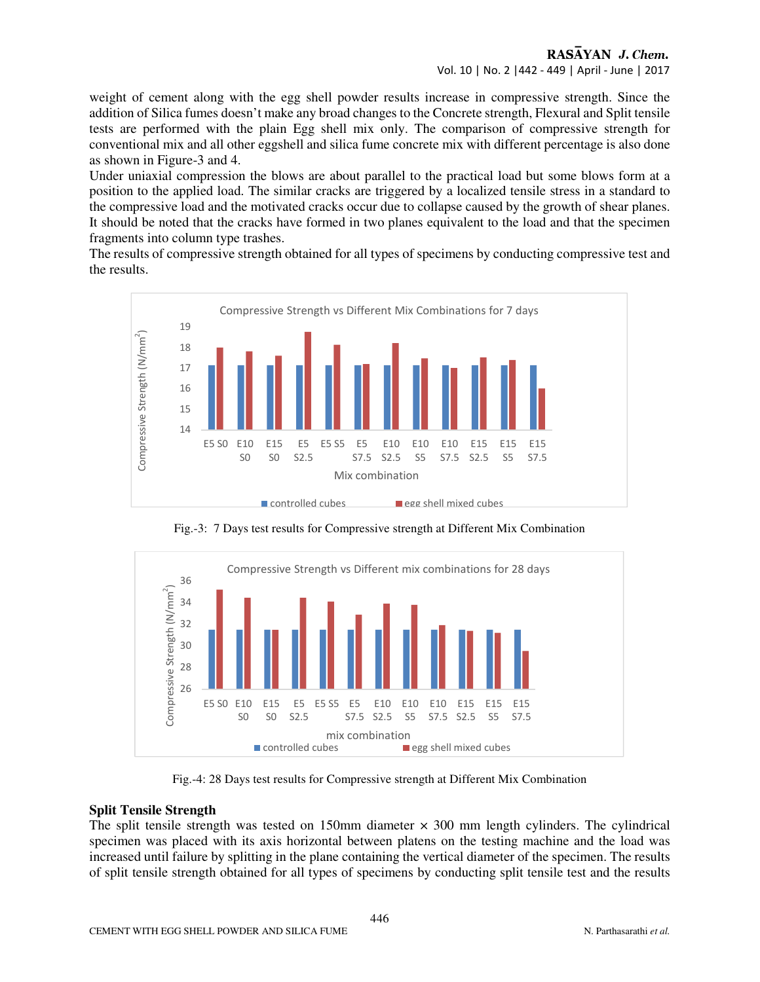weight of cement along with the egg shell powder results increase in compressive strength. Since the addition of Silica fumes doesn't make any broad changes to the Concrete strength, Flexural and Split tensile tests are performed with the plain Egg shell mix only. The comparison of compressive strength for conventional mix and all other eggshell and silica fume concrete mix with different percentage is also done as shown in Figure-3 and 4.

Under uniaxial compression the blows are about parallel to the practical load but some blows form at a position to the applied load. The similar cracks are triggered by a localized tensile stress in a standard to the compressive load and the motivated cracks occur due to collapse caused by the growth of shear planes. It should be noted that the cracks have formed in two planes equivalent to the load and that the specimen fragments into column type trashes.

The results of compressive strength obtained for all types of specimens by conducting compressive test and the results.



Fig.-3: 7 Days test results for Compressive strength at Different Mix Combination



Fig.-4: 28 Days test results for Compressive strength at Different Mix Combination

## **Split Tensile Strength**

The split tensile strength was tested on 150mm diameter  $\times$  300 mm length cylinders. The cylindrical specimen was placed with its axis horizontal between platens on the testing machine and the load was increased until failure by splitting in the plane containing the vertical diameter of the specimen. The results of split tensile strength obtained for all types of specimens by conducting split tensile test and the results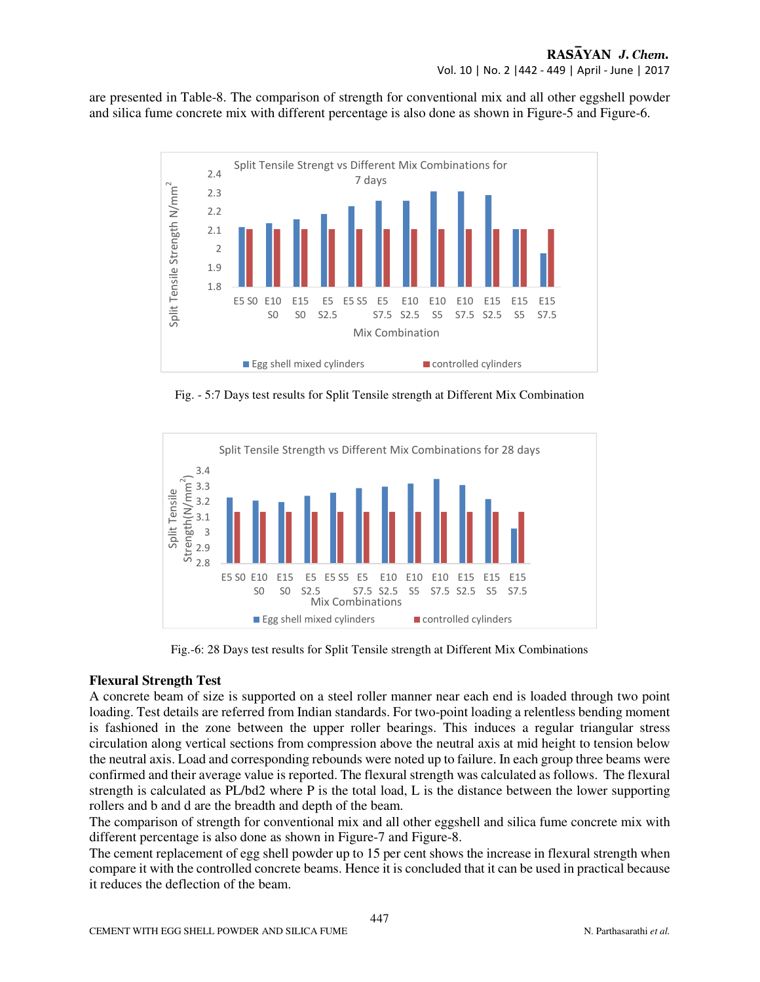are presented in Table-8. The comparison of strength for conventional mix and all other eggshell powder and silica fume concrete mix with different percentage is also done as shown in Figure-5 and Figure-6.



Fig. - 5:7 Days test results for Split Tensile strength at Different Mix Combination



Fig.-6: 28 Days test results for Split Tensile strength at Different Mix Combinations

## **Flexural Strength Test**

A concrete beam of size is supported on a steel roller manner near each end is loaded through two point loading. Test details are referred from Indian standards. For two-point loading a relentless bending moment is fashioned in the zone between the upper roller bearings. This induces a regular triangular stress circulation along vertical sections from compression above the neutral axis at mid height to tension below the neutral axis. Load and corresponding rebounds were noted up to failure. In each group three beams were confirmed and their average value is reported. The flexural strength was calculated as follows. The flexural strength is calculated as PL/bd2 where P is the total load, L is the distance between the lower supporting rollers and b and d are the breadth and depth of the beam.

The comparison of strength for conventional mix and all other eggshell and silica fume concrete mix with different percentage is also done as shown in Figure-7 and Figure-8.

The cement replacement of egg shell powder up to 15 per cent shows the increase in flexural strength when compare it with the controlled concrete beams. Hence it is concluded that it can be used in practical because it reduces the deflection of the beam.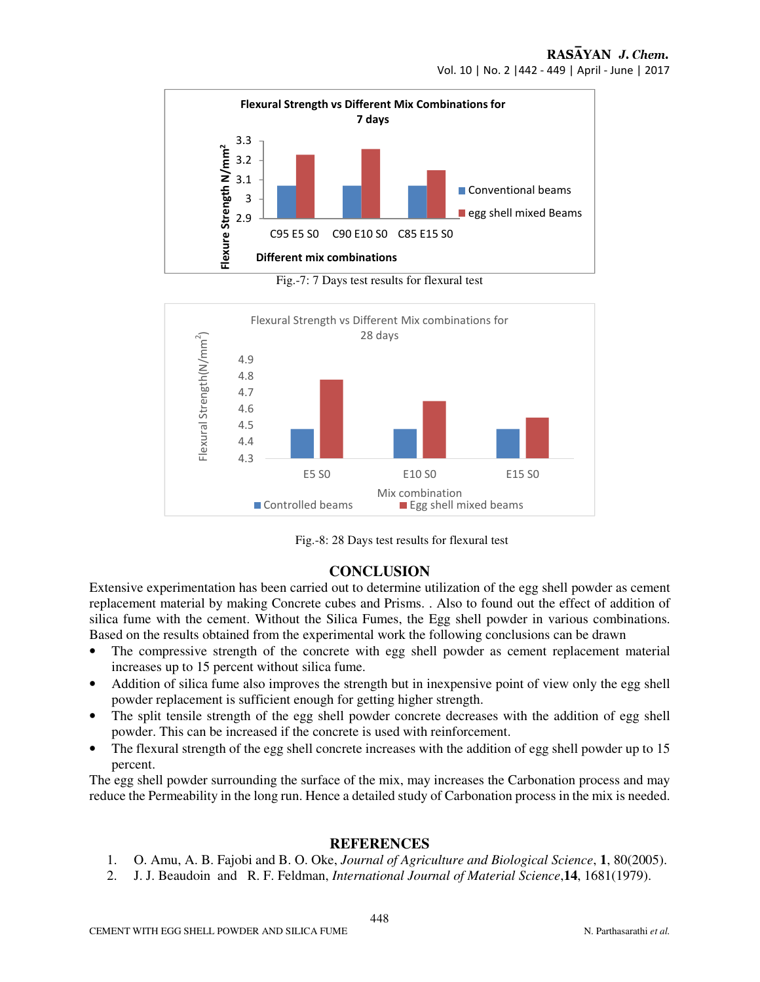

Fig.-7: 7 Days test results for flexural test





## **CONCLUSION**

Extensive experimentation has been carried out to determine utilization of the egg shell powder as cement replacement material by making Concrete cubes and Prisms. . Also to found out the effect of addition of silica fume with the cement. Without the Silica Fumes, the Egg shell powder in various combinations. Based on the results obtained from the experimental work the following conclusions can be drawn

- The compressive strength of the concrete with egg shell powder as cement replacement material increases up to 15 percent without silica fume.
- Addition of silica fume also improves the strength but in inexpensive point of view only the egg shell powder replacement is sufficient enough for getting higher strength.
- The split tensile strength of the egg shell powder concrete decreases with the addition of egg shell powder. This can be increased if the concrete is used with reinforcement.
- The flexural strength of the egg shell concrete increases with the addition of egg shell powder up to 15 percent.

The egg shell powder surrounding the surface of the mix, may increases the Carbonation process and may reduce the Permeability in the long run. Hence a detailed study of Carbonation process in the mix is needed.

## **REFERENCES**

- 1. O. Amu, A. B. Fajobi and B. O. Oke, *Journal of Agriculture and Biological Science*, **1**, 80(2005).
- 2. J. J. Beaudoin and R. F. Feldman, *International Journal of Material Science*,**14**, 1681(1979).